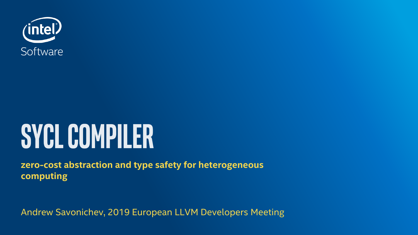

# **SYCL COMPILER**

**zero-cost abstraction and type safety for heterogeneous computing**

Andrew Savonichev, 2019 European LLVM Developers Meeting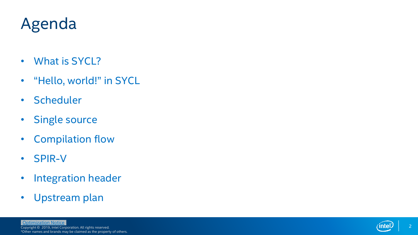### Agenda

- What is SYCL?
- "Hello, world!" in SYCL
- Scheduler
- Single source
- Compilation flow
- SPIR-V
- Integration header
- Upstream plan

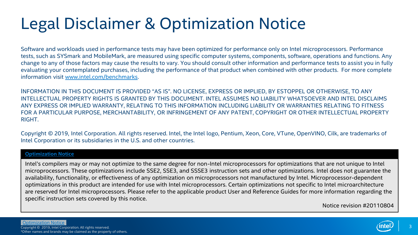## Legal Disclaimer & Optimization Notice

Software and workloads used in performance tests may have been optimized for performance only on Intel microprocessors. Performance tests, such as SYSmark and MobileMark, are measured using specific computer systems, components, software, operations and functions. Any change to any of those factors may cause the results to vary. You should consult other information and performance tests to assist you in fully evaluating your contemplated purchases, including the performance of that product when combined with other products. For more complete information visit [www.intel.com/benchmarks](http://www.intel.com/benchmarks).

INFORMATION IN THIS DOCUMENT IS PROVIDED "AS IS". NO LICENSE, EXPRESS OR IMPLIED, BY ESTOPPEL OR OTHERWISE, TO ANY INTELLECTUAL PROPERTY RIGHTS IS GRANTED BY THIS DOCUMENT. INTEL ASSUMES NO LIABILITY WHATSOEVER AND INTEL DISCLAIMS ANY EXPRESS OR IMPLIED WARRANTY, RELATING TO THIS INFORMATION INCLUDING LIABILITY OR WARRANTIES RELATING TO FITNESS FOR A PARTICULAR PURPOSE, MERCHANTABILITY, OR INFRINGEMENT OF ANY PATENT, COPYRIGHT OR OTHER INTELLECTUAL PROPERTY **RIGHT** 

Copyright © 2019, Intel Corporation. All rights reserved. Intel, the Intel logo, Pentium, Xeon, Core, VTune, OpenVINO, Cilk, are trademarks of Intel Corporation or its subsidiaries in the U.S. and other countries.

### **[Optimization Notice](https://software.intel.com/en-us/articles/optimization-notice)**

Intel's compilers may or may not optimize to the same degree for non-Intel microprocessors for optimizations that are not unique to Intel microprocessors. These optimizations include SSE2, SSE3, and SSSE3 instruction sets and other optimizations. Intel does not guarantee the availability, functionality, or effectiveness of any optimization on microprocessors not manufactured by Intel. Microprocessor-dependent optimizations in this product are intended for use with Intel microprocessors. Certain optimizations not specific to Intel microarchitecture are reserved for Intel microprocessors. Please refer to the applicable product User and Reference Guides for more information regarding the specific instruction sets covered by this notice.

Notice revision #20110804

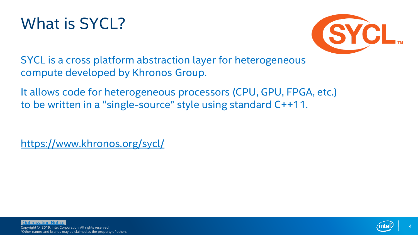



SYCL is a cross platform abstraction layer for heterogeneous compute developed by Khronos Group.

It allows code for heterogeneous processors (CPU, GPU, FPGA, etc.) to be written in a "single-source" style using standard C++11.

<https://www.khronos.org/sycl/>

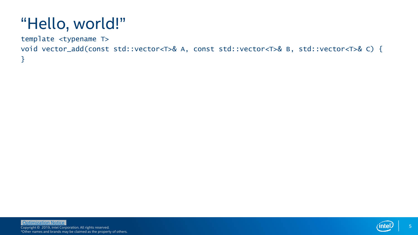template <typename T>

}

void vector\_add(const std::vector<T>& A, const std::vector<T>& B, std::vector<T>& C) {

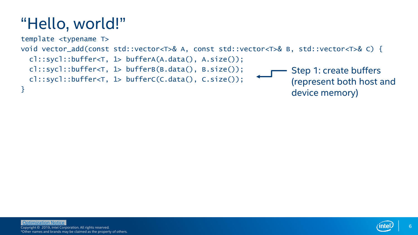

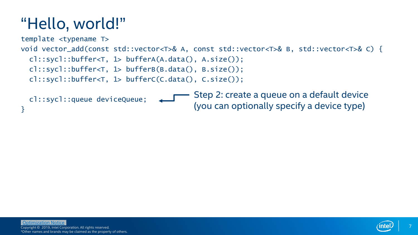}



(you can optionally specify a device type)

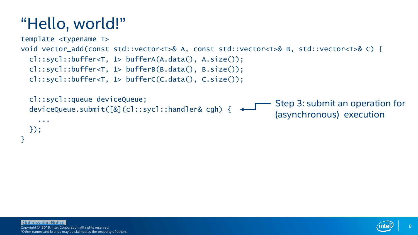

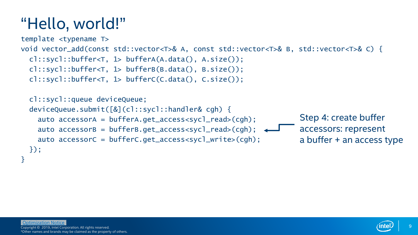

});

}

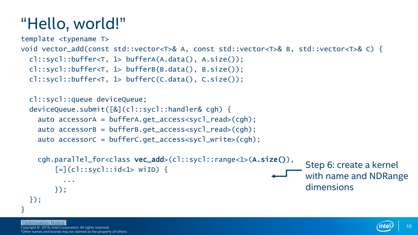```
template <typename T> 
void vector_add(const std::vector<T>& A, const std::vector<T>& B, std::vector<T>& C) {
  cl::sycl::buffer<T, 1> bufferA(A.data(), A.size());
  cl::sycl::buffer<T, 1> bufferB(B.data(), B.size());
  cl::sycl::buffer<T, 1> bufferC(C.data(), C.size());
  cl::sycl::queue deviceQueue;
  deviceQueue.submit([&](cl::sycl::handler& cgh) {
    auto accessorA = bufferA.get_access<sycl_read>(cgh);
    auto accessorB = bufferB.get_access<sycl_read>(cgh);
    auto accessorC = bufferC.get_access<sycl_write>(cgh);
    cgh.parallel_for<class vec_add>(cl::sycl::range<1>(A.size()),
        [-] (c]::syc]::id <1> withi> with i> i-1</i>...
        });
                                                                      Step 6: create a kernel
                                                                      with name and NDRange
                                                                      dimensions
```

```
});
}
```
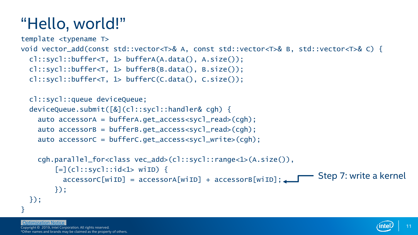```
template <typename T> 
void vector_add(const std::vector<T>& A, const std::vector<T>& B, std::vector<T>& C) {
  cl::sycl::buffer<T, 1> bufferA(A.data(), A.size());
  cl::sycl::buffer<T, 1> bufferB(B.data(), B.size());
  cl::sycl::buffer<T, 1> bufferC(C.data(), C.size());
  cl::sycl::queue deviceQueue;
  deviceQueue.submit([&](cl::sycl::handler& cgh) {
    auto accessorA = bufferA.get_access<sycl_read>(cgh);
    auto accessorB = bufferB.get_access<sycl_read>(cgh);
    auto accessorC = bufferC.get_access<sycl_write>(cgh);
    cgh.parallel_for<class vec_add>(cl::sycl::range<1>(A.size()),
        [-] (c]::syc]::id <1> withi> with i> i-1</i>
```

```
accessorC[wiID] = accessorA[wiID] + accessorB[wiID];
});
                                                             Step 7: write a kernel
```

```
});
```
}

[Optimization Notice](#page-25-0)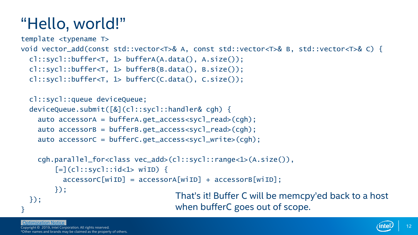```
template <typename T> 
void vector_add(const std::vector<T>& A, const std::vector<T>& B, std::vector<T>& C) {
  cl::sycl::buffer<T, 1> bufferA(A.data(), A.size());
 cl::sycl::buffer<T, 1> bufferB(B.data(), B.size());
  cl::sycl::buffer<T, 1> bufferC(C.data(), C.size());
```

```
cl::sycl::queue deviceQueue;
deviceQueue.submit([&](cl::sycl::handler& cgh) {
 auto accessorA = bufferA.get_access<sycl_read>(cgh);
 auto accessorB = bufferB.get_access<sycl_read>(cgh);
 auto accessorC = bufferC.get_access<sycl_write>(cgh);
```

```
cgh.parallel_for<class vec_add>(cl::sycl::range<1>(A.size()),
      [-] (c]::syc]::id <1> withi> with i> i-1</i>accessorC[with] = accessorA[with] + accessorB[with];
      });
});
                                     That's it! Buffer C will be memcpy'ed back to a host
                                     when bufferC goes out of scope.
```
### [Optimization Notice](#page-25-0)

}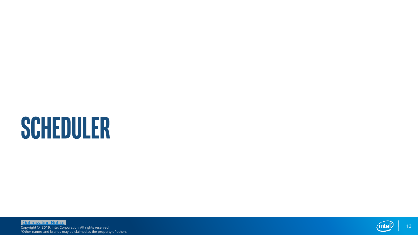# **SCHEDULER**

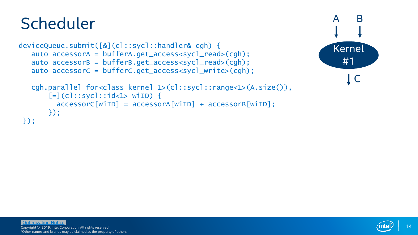### **Scheduler**

```
deviceQueue.submit([&](cl::sycl::handler& cgh) {
   auto accessorA = bufferA.get_access<sycl_read>(cgh);
   auto accessorB = bufferB.get_access<sycl_read>(cgh);
   auto accessorC = bufferC.get_access<sycl_write>(cgh);
```


```
cgh.parallel_for<class kernel_1>(cl::sycl::range<1>(A.size()), 
      [=](cl::sycl::id<1> wiID) {
        accessorC[winID] = accessorA[winID] + accessorB[winID];});
});
```
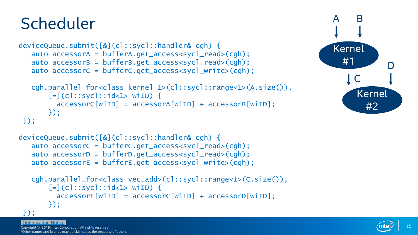### **Scheduler**

});

```
deviceQueue.submit([&](cl::sycl::handler& cgh) {
   auto accessorA = bufferA.get_access<sycl_read>(cgh);
   auto accessorB = bufferB.get_access<sycl_read>(cgh);
   auto accessorC = bufferC.get_access<sycl_write>(cgh);
  cgh.parallel_for<class kernel_1>(cl::sycl::range<1>(A.size()),
```


```
deviceQueue.submit([&](cl::sycl::handler& cgh) {
   auto accessorС = bufferC.get_access<sycl_read>(cgh);
   auto accessorD = bufferD.get_access<sycl_read>(cgh);
   auto accessorE = bufferE.get_access<sycl_write>(cgh);
```
 $[$ =](cl::sycl:: $id$ <1> wiID) {

```
cgh.parallel_for<class vec_add>(cl::sycl::range<1>(C.size()),
    [-] (c]:: sycl::id <1> withi> with i> iaccessore[withID] = accessorC[withID] + accessorD[withID];});
```
 $accessorC[winID] = accessorA[winID] + accessorB[winID];$ 

### });

});

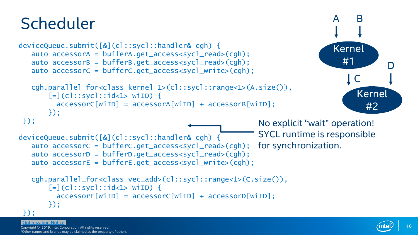### **Scheduler**

```
deviceQueue.submit([&](cl::sycl::handler& cgh) {
   auto accessorA = bufferA.get_access<sycl_read>(cgh);
   auto accessorB = bufferB.get_access<sycl_read>(cgh);
   auto accessorC = bufferC.get_access<sycl_write>(cgh);
   cgh.parallel_for<class kernel_1>(cl::sycl::range<1>(A.size()), 
       [=](cl::sycl::id<1> wiID) {
         accessorC[winID] = accessorA[winID] + accessorB[winID];});
 });
deviceQueue.submit([&](cl::sycl::handler& cgh) {
   auto accessorС = bufferC.get_access<sycl_read>(cgh);
   auto accessorD = bufferD.get_access<sycl_read>(cgh);
   auto accessorE = bufferE.get_access<sycl_write>(cgh);
   cgh.parallel_for<class vec_add>(cl::sycl::range<1>(C.size()),
       \lceil=\lceil(cl::sycl::id < 1> wiID) {
         accessore[withID] = accessorC[withID] + accessorD[withID];});
 });
                                                                              Kernel 
                                                                                #1
                                                                                   C
                                                                                    Kernel 
                                                                                      #2
                                                                                           D
                                                           No explicit "wait" operation!
                                                           SYCL runtime is responsible 
                                                           for synchronization.
```
### [Optimization Notice](#page-25-0)

Copyright © 2019, Intel Corporation. All rights reserved. \*Other names and brands may be claimed as the property of others.  $\bm{\mathsf{B}}$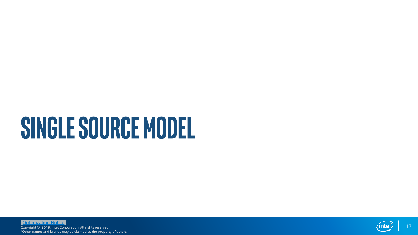# **SINGLE SOURCE MODEL**

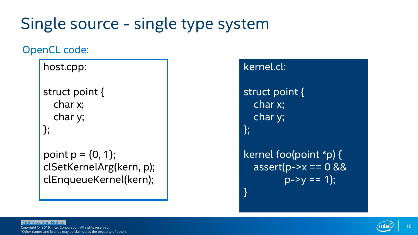### OpenCL code:

host.cpp:

struct point { char x; char y; };

point  $p = \{0, 1\}$ ; clSetKernelArg(kern, p); clEnqueueKernel(kern);

### kernel.cl: struct point { char x; char y; }; kernel foo(point \*p) {  $assert(p->x == 0 88$  $p->v == 1$ ; }

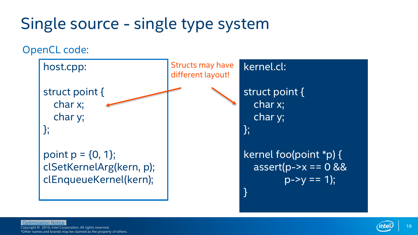OpenCL code:

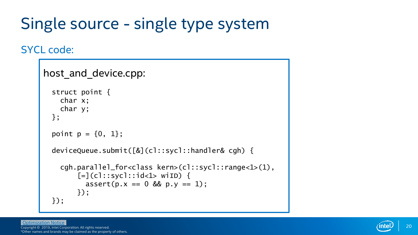### SYCL code:

```
host and device.cpp:
  struct point {
    char x;
    char y;
  };
  point p = \{0, 1\};
  deviceQueue.submit([&](cl::sycl::handler& cgh) {
    cgh.parallel_for<class kern>(cl::sycl::range<1>(1),
        \lceil=\lceil(cl::sycl::id<1> wiID) {
          assert(p.x == 0 & 0 & p.y == 1);
        });
  });
```
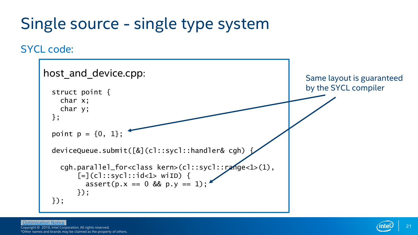### SYCL code:

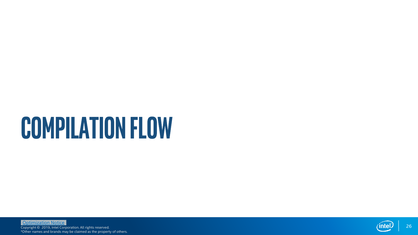# **COMPILATION FLOW**

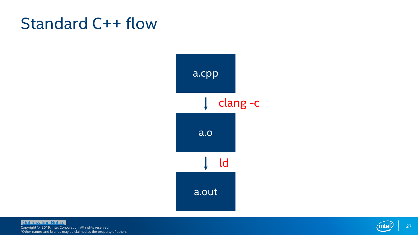### Standard C++ flow



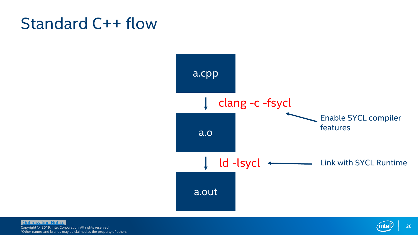### Standard C++ flow



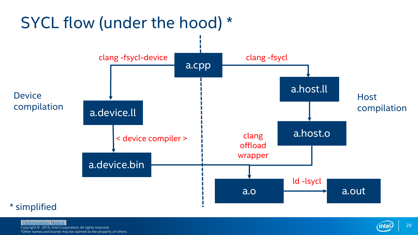

Copyright © 2019, Intel Corporation. All rights reserved. \*Other names and brands may be claimed as the property of others. [Optimization Notice](#page-25-0) (interval and conception All sights concepted and conception and sights conception and sights conception and sights conception and sights conception and sights conception and sights conception and sight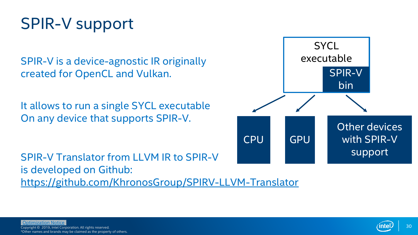### <span id="page-25-0"></span>SPIR-V support

SPIR-V is a device-agnostic IR originally created for OpenCL and Vulkan.

It allows to run a single SYCL executable On any device that supports SPIR-V.

SPIR-V Translator from LLVM IR to SPIR-V is developed on Github: <https://github.com/KhronosGroup/SPIRV-LLVM-Translator>



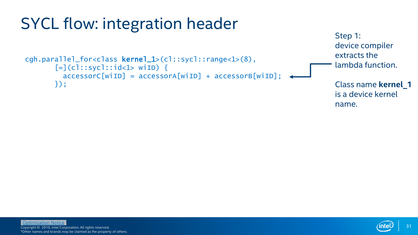



Step 1: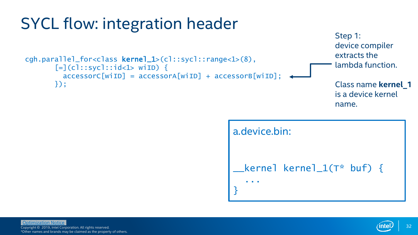



Step 1:

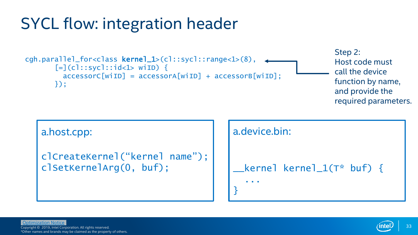```
cgh.parallel_for<class kernel_1>(cl::sycl::range<1>(8), 
        [-] (c]::syc]::id <1> withi> with i> i-1</i>accessorC[winID] = accessorA[winID] + accessorB[winID];});
                                                                                     Step 2: 
                                                                                     Host code must
                                                                                     call the device 
                                                                                     function by name, 
                                                                                     and provide the
                                                                                     required parameters.
```

```
a.host.cpp:
```

```
clCreateKernel("kernel name");
clSetKernelArg(0, buf);
```


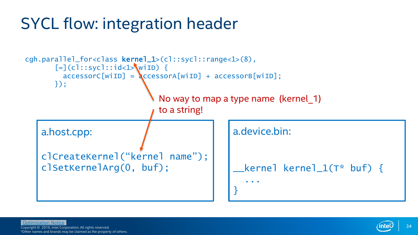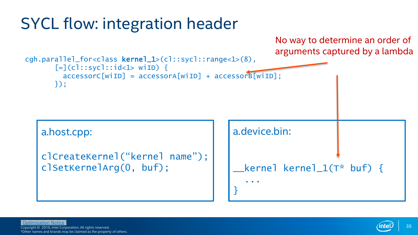cgh.parallel\_for<class kernel\_1>(cl::sycl::range<1>(8),  $[-] (c]::syc]::id <1> withi> with i> i-1$ accessorC[wiID] = accessorA[wiID] + accessorB[wiID]; }); a.device.bin: \_\_kernel kernel\_1(T\* buf) { ... } a.host.cpp: clCreateKernel("kernel name"); clSetKernelArg(0, buf); No way to determine an order of arguments captured by a lambda

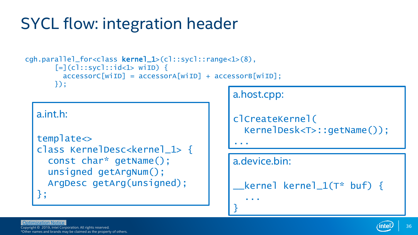```
cgh.parallel_for<class kernel_1>(cl::sycl::range<1>(8), 
        [-] (c]::syc]::id <1> withi> with i> i-1</i>accessorC[withID] = accessorA[withID] + accessorB[withID];});
```
a.int.h:

```
template<>
class KernelDesc<kernel_1> {
  const char* getName();
  unsigned getArgNum();
  ArgDesc getArg(unsigned);
};
```

```
a.host.cpp:
```

```
clCreateKernel(
  KernelDesk<T>::getName());
```
...

}

### a.device.bin:

...

```
kernel kernel 1(T^* buf) {
```
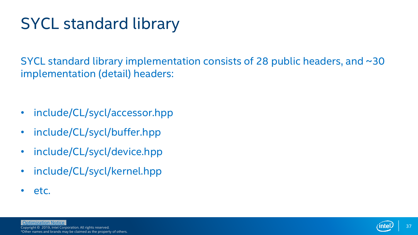### SYCL standard library

SYCL standard library implementation consists of 28 public headers, and ~30 implementation (detail) headers:

- include/CL/sycl/accessor.hpp
- include/CL/sycl/buffer.hpp
- include/CL/sycl/device.hpp
- include/CL/sycl/kernel.hpp
- etc.

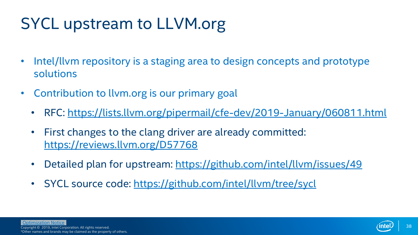### SYCL upstream to LLVM.org

- Intel/llvm repository is a staging area to design concepts and prototype solutions
- Contribution to llvm.org is our primary goal
	- RFC:<https://lists.llvm.org/pipermail/cfe-dev/2019-January/060811.html>
	- First changes to the clang driver are already committed: <https://reviews.llvm.org/D57768>
	- Detailed plan for upstream:<https://github.com/intel/llvm/issues/49>
	- SYCL source code:<https://github.com/intel/llvm/tree/sycl>

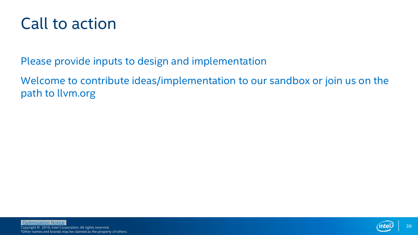### Call to action

Please provide inputs to design and implementation

Welcome to contribute ideas/implementation to our sandbox or join us on the path to llvm.org